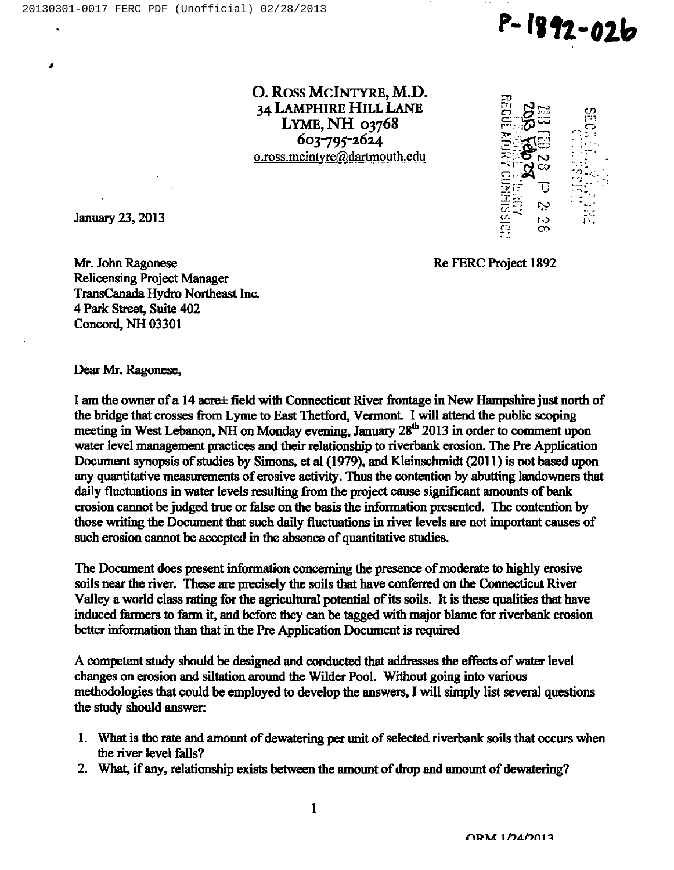

O. ROSS MCINTYRE, M.D. 34 LAMPHIRE HILL LANE LYME, NH 03768  $603 - 795 - 2624$ o.ross.mcintyre@dartmouth.cdu



January 23, 2013

é

Re FERC Project 1892

Mr. John Ragonese Relicensing Project Manager TransCanada Hydro Northeast Inc. 4 Park Street, Suite 402 Concord, NH 03301

Dear Mr. Ragonese,

I am the owner of a 14 acress field with Connecticut River frontage in New Hampshire just north of the bridge that crosses from Lyme to East Thetford, Vermont. I will attend the public scoping meeting in West Lebanon, NH on Monday evening, January 28<sup>th</sup> 2013 in order to comment upon water level management practices and their relationship to riverbank erosion. The Pre Application Document synopsis of studies by Simons, et al (1979), and Kleinschmidt (2011) is not based upon any quantitative measurements of erosive activity. Thus the contention by abutting landowners that daily fluctuations in water levels resulting from the project cause significant amounts of bank erosion cannot be judged true or false on the basis the information presented. The contention by those writing the Document that such daily fluctuations in river levels are not important causes of such erosion cannot be accepted in the absence of quantitative studies.

The Document does present information concerning the presence of moderate to highly erosive soils near the river. These are precisely the soils that have conferred on the Connecticut River Valley a world class rating for the agricultural potential of its soils. It is these qualities that have induced farmers to farm it, and before they can be tagged with major blame for riverbank erosion better information than that in the Pre Application Document is required

A competent study should be designed and conducted that addresses the effects of water level changes on erosion and siltation around the Wilder Pool. Without going into various methodologies that could be employed to develop the answers, I will simply list several questions the study should answer:

- 1. What is the rate and amount of dewatering per unit of selected riverbank soils that occurs when the river level falls?
- 2. What, if any, relationship exists between the amount of drop and amount of dewatering?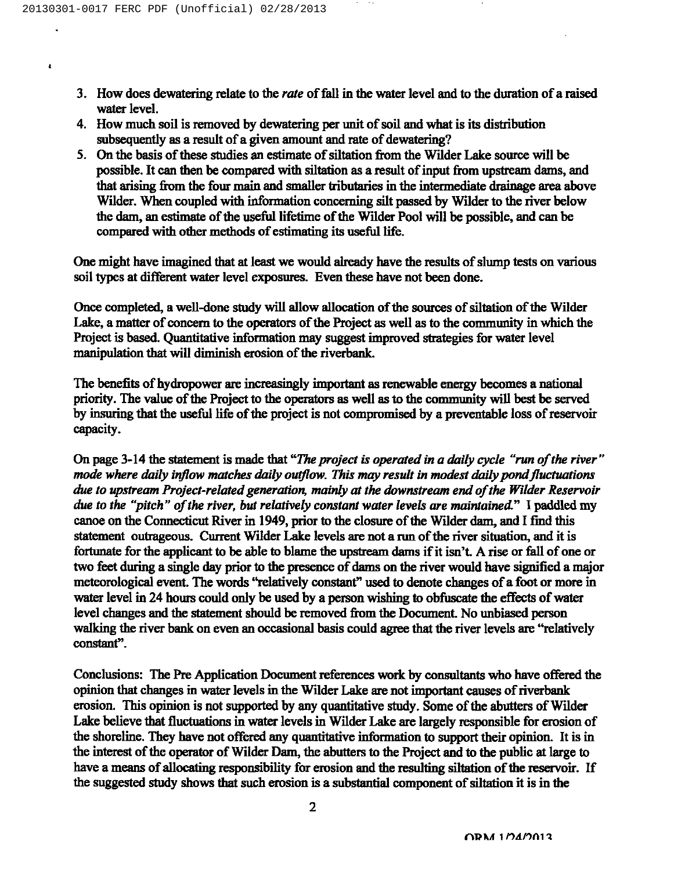$\lambda$ 

- 3. How does dewatering relate to the *rate* of fall in the water level and to the duration of a raised water level.
- 4. How much soil is removed by dewatering per unit of soil and what is its distribution subsequently as a result of a given amount and rate of dewatering?
- 5. On the basis of these studies an estimate of siltation from the Wilder Lake source will be possible. It can then be compared with siltation as a result of input from upstream dams, and that arising from the four main and smaller tributaries in the intermediate drainage area above Wilder. When coupled with information concerning silt passed by Wilder to the river below the dam, an estimate of the useful lifetime of the Wilder Pool will be possible, and can be compared with other methods of estimating its useful life.

One might have imagined that at least we would already have the results of slump tests on various soil types at different water level exposures. Even these have not been done.

Once completed, a well-done study will allow allocation of the sources of siltation of the Wilder Lake, a matter of concern to the operators of the Project as well as to the community in which the Project is based. Quantitative information may suggest improved strategies for water level manipulation that will diminish erosion of the riverbank.

The benefits of hydropower are increasingly important as renewable energy becomes a national priority. The value of the Project to the operators as well as to the community will best be served by insuring that the useful life of the project is not compromised by a preventable loss of reservoir capacity.

On page 3-14 the statement is made that "The project is operated in a daily cycle "run of the river" mode where daily inflow matches daily outflow. This may result in modest daily pond fluctuations due to upstream Project-related generation, mainly at the downstream end of the Wilder Reservoir due to the "pitch" of the river, but relatively constant water levels are maintained." I paddled my canoe on the Connecticut River in 1949, prior to the closure of the Wilder dam, and I find this statement outrageous. Current Wilder Lake levels are not a run of the river situation, and it is fortunate for the applicant to be able to blame the upstream dams if it isn't. A rise or fall of one or two feet during a single day prior to the presence of dams on the river would have signified a major meteorological event. The wards "relatively constant" used to denote changes of a foot or more in water level in 24 hours could only be used by a person wishing to obfuscate the effects of water level changes and the statement should be removed fiom the Document. No unbiased person walking the river bank on even an occasional basis could agree that the river levels are "relatively constant".

Conclusions: The Pre Application Document references work by consultants who have offered the opinion that changes in water levels in the Wilder Lake are not important causes of riverbank erosion. This opinion is not supported by any quantitative study. Some of the abutters of Wilder Lake believe that fluctuations in water levels in Wilder Lake are largely responsible for erosion of the shoreline. They have not offered any quantitative information to support their opinion. It is in the interest of the operator of Wilder Dam, the abutters to the Project and to the public at large to have a means of allocating responsibility for erosion and the resulting siltation of the reservoir. If the suggested study shows that such erosion is a substantial component of siltation it is in the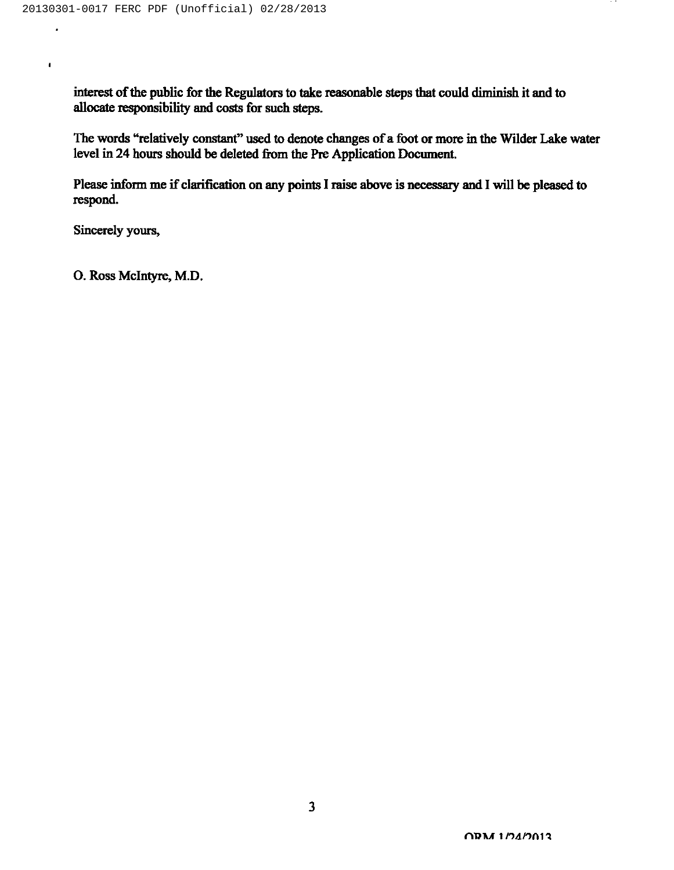interest of the public for the Regulators to take reasonable steps that could diminish it and to allocate responsibility and costs for such steps.

The words "relatively constant" used to denote changes of a foot or more in the Wilder Lake water level in 24 hours should be deleted fiom the Pre Application Document.

Please inform me if clarification on any points I raise above is necessary and I will be pleased to respond.

Sincerely yours,

l,

 $\bullet$ 

O. Ross Mclntyre, M.D.